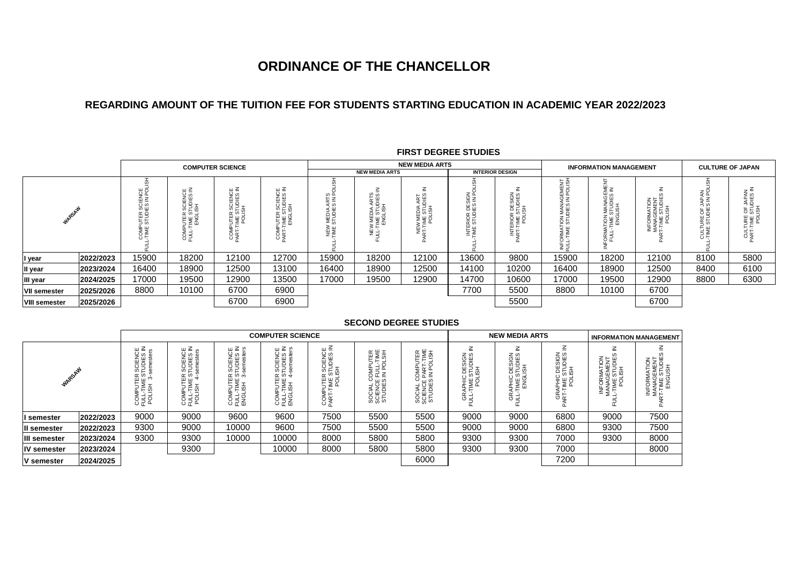# **ORDINANCE OF THE CHANCELLOR**

## **REGARDING AMOUNT OF THE TUITION FEE FOR STUDENTS STARTING EDUCATION IN ACADEMIC YEAR 2022/2023**

|                      |           |                                                                              |                                                                        | <b>COMPUTER SCIENCE</b>                     |                                                                  |                                                                    |                                                | <b>NEW MEDIA ARTS</b>        |                                                    |                                           | <b>INFORMATION MANAGEMENT</b>                 |                                                                           |                                                            | <b>CULTURE OF JAPAN</b>           |                                                    |
|----------------------|-----------|------------------------------------------------------------------------------|------------------------------------------------------------------------|---------------------------------------------|------------------------------------------------------------------|--------------------------------------------------------------------|------------------------------------------------|------------------------------|----------------------------------------------------|-------------------------------------------|-----------------------------------------------|---------------------------------------------------------------------------|------------------------------------------------------------|-----------------------------------|----------------------------------------------------|
|                      |           |                                                                              |                                                                        |                                             | <b>NEW MEDIA ARTS</b>                                            |                                                                    |                                                |                              | <b>INTERIOR DESIGN</b>                             |                                           |                                               |                                                                           |                                                            |                                   |                                                    |
| h.                   |           | ᇤᅎ<br>CIENCI<br>S IN PC<br>ທ ⊞<br>≃ ⊂<br>$H =$<br>מז ר<br>$\mathbf{H}$<br>ξ≨ | ш ≦<br>SCIENCI<br>TUDIES<br>ISH<br>$\alpha$ io $=$<br>ந்பத<br>호홀<br>영국 | ш ≧<br>inis<br>≌<br>SEE<br>SEE<br>≃ഗ<br>S ∉ | SCIENCE<br>TUDIES IN<br>ISH<br>$\alpha$ io :<br>யய<br><b>COL</b> | $\omega$<br>ഗ≏<br>†∠ ≧<br><b>MEDIA AF</b><br>STUDIES<br><b>HEW</b> | RTS<br>IES<br>๔ ∆<br>⊏ ∞ ⊐<br>뿔뿔옲<br>≦ '<br>zΞ | Ξ<br>ART<br>DI€<br>554<br>ž⊧ | <b>ERIOR DESIGN</b><br>STUDIES IN F<br><b>NATE</b> | SIGN<br>DIES I<br>품증 표<br>$\sim 5$<br>Ri⊠ | MENT<br>ه ه<br>9 Z<br>MAN<br>DIES<br>ēξ<br>ΞP | $\equiv$ $\equiv$<br>ᄑᇭ<br>MANAGI<br>STUDIES<br>LISH<br>even<br>E¥ã<br>Ωī | ≤<br>INFORMATION<br>MANAGEMENT<br>T-TIME STUDIE:<br>POLISH | ≩≲ັ<br>ზË<br>ய⊃<br>록등<br>- ய<br>행 | CULTURE OF JAPAN<br>PART-TIME STUDIES IN<br>POLISH |
| I year               | 2022/2023 | 15900                                                                        | 18200                                                                  | 12100                                       | 12700                                                            | 15900                                                              | 18200                                          | 12100                        | 13600                                              | 9800                                      | 15900                                         | 18200                                                                     | 12100                                                      | 8100                              | 5800                                               |
| II year              | 2023/2024 | 16400                                                                        | 18900                                                                  | 12500                                       | 13100                                                            | 16400                                                              | 18900                                          | 12500                        | 14100                                              | 10200                                     | 16400                                         | 18900                                                                     | 12500                                                      | 8400                              | 6100                                               |
| III year             | 2024/2025 | 17000                                                                        | 19500                                                                  | 12900                                       | 13500                                                            | 17000                                                              | 19500                                          | 12900                        | 14700                                              | 10600                                     | 17000                                         | 19500                                                                     | 12900                                                      | 8800                              | 6300                                               |
| <b>VII semester</b>  | 2025/2026 | 8800                                                                         | 10100                                                                  | 6700                                        | 6900                                                             |                                                                    |                                                |                              | 7700                                               | 5500                                      | 8800                                          | 10100                                                                     | 6700                                                       |                                   |                                                    |
| <b>VIII semester</b> | 2025/2026 |                                                                              |                                                                        | 6700                                        | 6900                                                             |                                                                    |                                                |                              |                                                    | 5500                                      |                                               |                                                                           | 6700                                                       |                                   |                                                    |

### **FIRST DEGREE STUDIES**

#### **SECOND DEGREE STUDIES**

|                    |           | <b>COMPUTER SCIENCE</b>                                          |                                                                   |                                                                                                                                                                                                                                                                                                                                                                      |                                                                                                                  |                                                 |                                                                                   |                                                                      |                                                           | <b>NEW MEDIA ARTS</b>                            | <b>INFORMATION MANAGEMENT</b>                  |                                                       |                                                         |
|--------------------|-----------|------------------------------------------------------------------|-------------------------------------------------------------------|----------------------------------------------------------------------------------------------------------------------------------------------------------------------------------------------------------------------------------------------------------------------------------------------------------------------------------------------------------------------|------------------------------------------------------------------------------------------------------------------|-------------------------------------------------|-----------------------------------------------------------------------------------|----------------------------------------------------------------------|-----------------------------------------------------------|--------------------------------------------------|------------------------------------------------|-------------------------------------------------------|---------------------------------------------------------|
| WARSAW             |           | SCIENCE<br>TUDIES IN<br>semesters<br>ER S<br>로<br>8 국 5<br>2 국 5 | ш ≧<br>TENC<br>DIES<br>Jester:<br>≃ഗ<br><b>THE SECTION</b><br>영특회 | SCIENCE<br>TUDIES IN<br>semesters<br>α თ ჭ<br>$rac{1}{2}$ $rac{1}{2}$ $rac{1}{2}$ $rac{1}{2}$ $rac{1}{2}$ $rac{1}{2}$ $rac{1}{2}$ $rac{1}{2}$ $rac{1}{2}$ $rac{1}{2}$ $rac{1}{2}$ $rac{1}{2}$ $rac{1}{2}$ $rac{1}{2}$ $rac{1}{2}$ $rac{1}{2}$ $rac{1}{2}$ $rac{1}{2}$ $rac{1}{2}$ $rac{1}{2}$ $rac{1}{2}$ $rac{1}{2}$ $rac{1}{2}$ $rac{1}{2}$ $rac{1}{$<br>호<br>이 무료 | SCIENCE<br>TUDIES IN<br>semesters<br>$\alpha$ $\omega$ $+$<br><b>PUTEI<br/>TIME</b><br>LISH<br>S<br>이 구역<br>이 구역 | ш ≧<br><b>IENCI</b><br>유일원<br>팔볼<br>COM<br>PART | <u>토통일</u><br>SOMPUT<br>FULL-T<br>IN POLS<br>⊙⊡ ທ<br>SOCIAL<br>SCIENCI<br>STUDIE: | 툐 톩 로<br>ጋ<br>PAR<br>PAR<br>$\leq$<br>SOCIAL C<br>SCIENCE<br>STUDIES | ≧<br>C DESIGN<br>STUDIES<br>LISH<br>GRAPHIC<br>JLL-TIME S | ≧<br>PHIC DESIGN<br>TME STUDIES<br>ENGLISH<br>영국 | C DESIGN<br>: STUDIES<br>LISH<br>호볼<br>GE<br>R | INFORMATION<br>MANAGEMENT<br>L-TIME STUDIES<br>POLISH | INFORMATION<br>MANAGEMENT<br>RT-TIME STUDIES<br>ENGLISH |
| I semester         | 2022/2023 | 9000                                                             | 9000                                                              | 9600                                                                                                                                                                                                                                                                                                                                                                 | 9600                                                                                                             | 7500                                            | 5500                                                                              | 5500                                                                 | 9000                                                      | 9000                                             | 6800                                           | 9000                                                  | 7500                                                    |
| II semester        | 2022/2023 | 9300                                                             | 9000                                                              | 10000                                                                                                                                                                                                                                                                                                                                                                | 9600                                                                                                             | 7500                                            | 5500                                                                              | 5500                                                                 | 9000                                                      | 9000                                             | 6800                                           | 9300                                                  | 7500                                                    |
| III semester       | 2023/2024 | 9300                                                             | 9300                                                              | 10000                                                                                                                                                                                                                                                                                                                                                                | 10000                                                                                                            | 8000                                            | 5800                                                                              | 5800                                                                 | 9300                                                      | 9300                                             | 7000                                           | 9300                                                  | 8000                                                    |
| <b>IV</b> semester | 2023/2024 |                                                                  | 9300                                                              |                                                                                                                                                                                                                                                                                                                                                                      | 10000                                                                                                            | 8000                                            | 5800                                                                              | 5800                                                                 | 9300                                                      | 9300                                             | 7000                                           |                                                       | 8000                                                    |
| <b>V</b> semester  | 2024/2025 |                                                                  |                                                                   |                                                                                                                                                                                                                                                                                                                                                                      |                                                                                                                  |                                                 |                                                                                   | 6000                                                                 |                                                           |                                                  | 7200                                           |                                                       |                                                         |